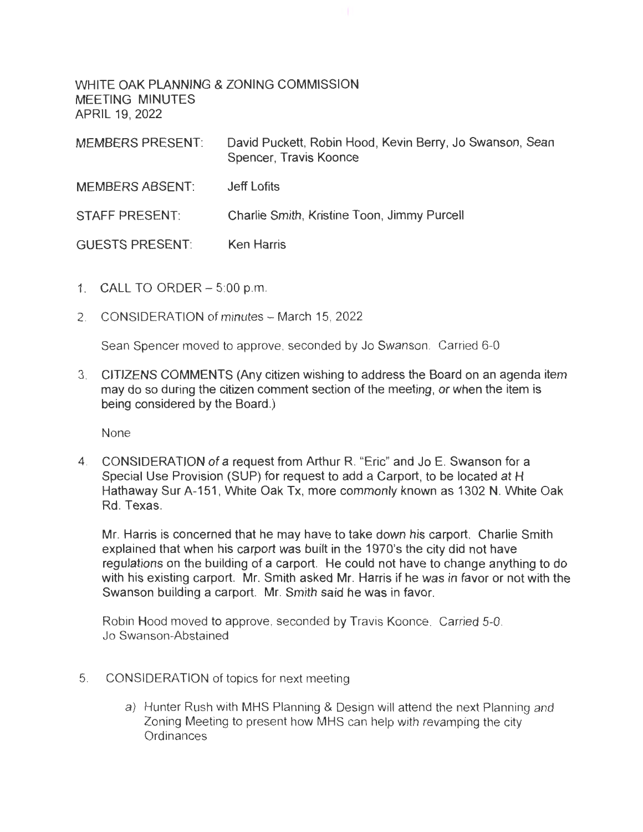WHITE OAK PLANNING & ZONING COMMISSION MEETING MINUTES APRIL 19, 2022

| <b>MEMBERS PRESENT:</b> | David Puckett, Robin Hood, Kevin Berry, Jo Swanson, Sean<br>Spencer, Travis Koonce |
|-------------------------|------------------------------------------------------------------------------------|
| <b>MEMBERS ABSENT:</b>  | Jeff Lofits                                                                        |
| <b>STAFF PRESENT:</b>   | Charlie Smith, Kristine Toon, Jimmy Purcell                                        |
| <b>GUESTS PRESENT:</b>  | <b>Ken Harris</b>                                                                  |

- 1. CALL TO ORDER 5:00 p.m.
- 2. CONSIDERATION of minutes March 15, 2022

Sean Spencer moved to approve, seconded by Jo Swanson. Carried 6-0

3. CITIZENS COMMENTS (Any citizen wishing to address the Board on an agenda item may do so during the citizen comment section of the meeting, or when the item is being considered by the Board.)

None

4. CONSIDERATION of a request from Arthur R. "Eric" and Jo E. Swanson for a Special Use Provision (SUP) for request to add a Carport, to be located at H Hathaway Sur A-151 , White Oak Tx, more commonly known as 1302 N. White Oak Rd Texas

Mr. Harris is concerned that he may have to take down his carport. Charlie Smith explained that when his carport was built in the 1970's the city did not have regulations on the building of a carport. He could not have to change anything to do with his existing carport. Mr. Smith asked Mr. Harris if he was in favor or not with the Swanson building a carport. Mr. Smith said he was in favor.

Robin Hood moved to approve, seconded by Travis Koonce. Carried 5-0. Jo Swanson-Abstained

- 5. CONSIDERATION of topics for next meeting
	- a) Hunter Rush with MHS Planning & Design will attend the next Planning and Zoning Meeting to present how MHS can help with revamping the city **Ordinances**